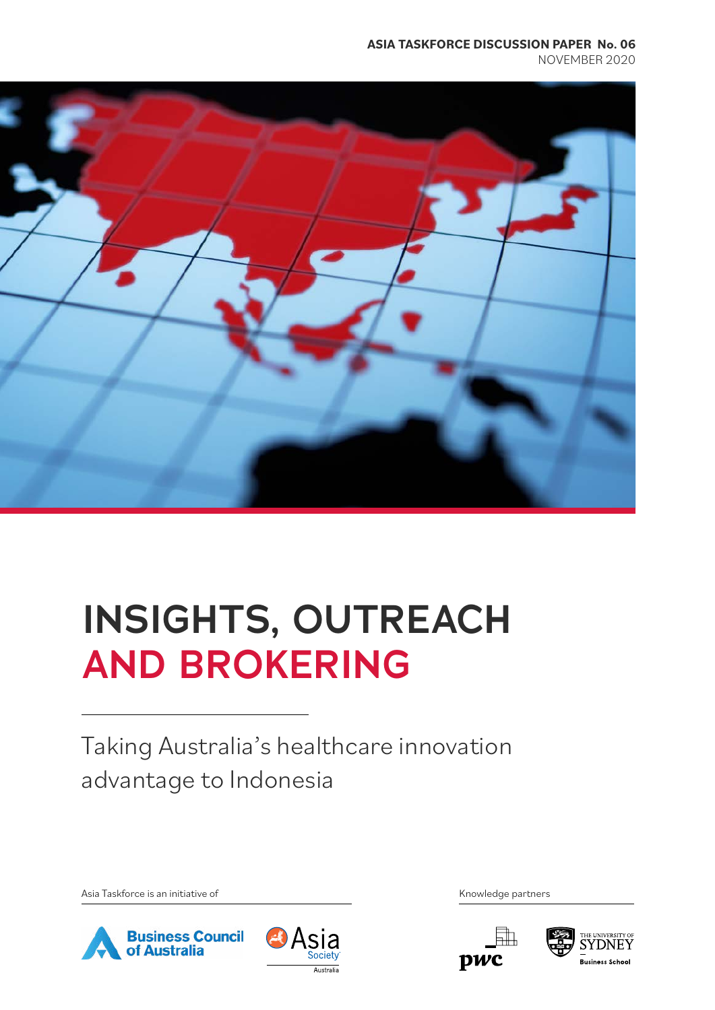### **ASIA TASKFORCE DISCUSSION PAPER No. 06** NOVEMBER 2020



# **INSIGHTS, OUTREACH AND BROKERING**

Taking Australia's healthcare innovation advantage to Indonesia

Asia Taskforce is an initiative of the Community of Asia Taskforce is an initiative of Knowledge partners







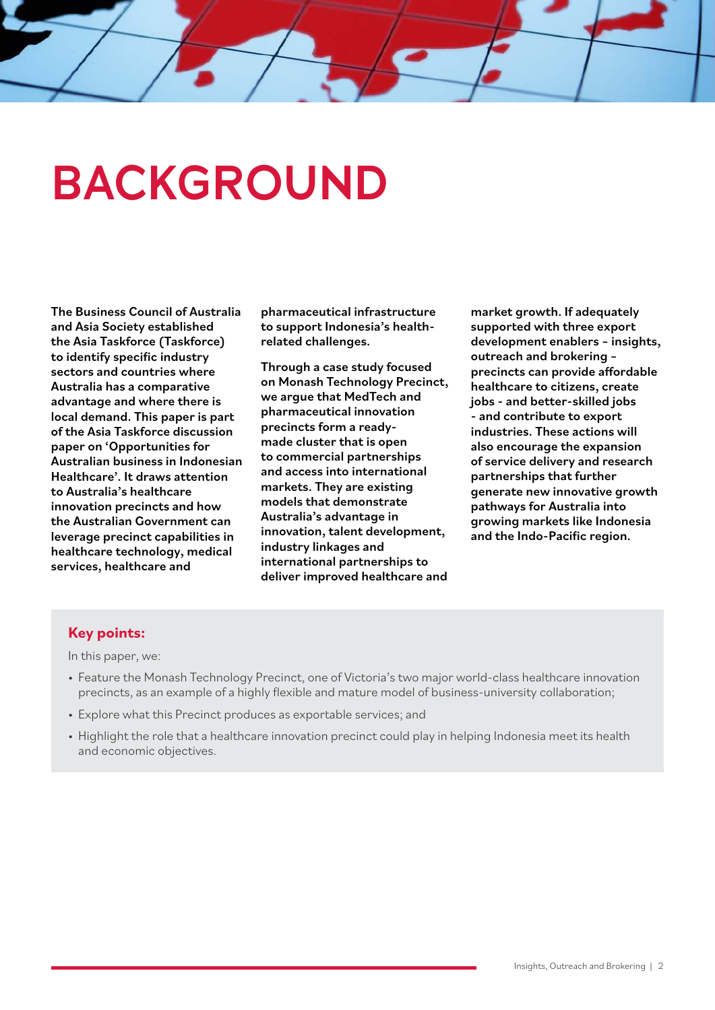# **BACKGROUND**

The Business Council of Australia and Asia Society established the Asia Taskforce (Taskforce) to identify specific industry sectors and countries where Australia has a comparative advantage and where there is local demand. This paper is part of the Asia Taskforce discussion paper on 'Opportunities for Australian business in Indonesian Healthcare'. It draws attention to Australia's healthcare innovation precincts and how the Australian Government can leverage precinct capabilities in healthcare technology, medical services, healthcare and

pharmaceutical infrastructure to support Indonesia's healthrelated challenges.

Through a case study focused on Monash Technology Precinct, we argue that MedTech and pharmaceutical innovation precincts form a readymade cluster that is open to commercial partnerships and access into international markets. They are existing models that demonstrate Australia's advantage in innovation, talent development, industry linkages and international partnerships to deliver improved healthcare and

market growth. If adequately supported with three export development enablers – insights, outreach and brokering – precincts can provide affordable healthcare to citizens, create jobs - and better-skilled jobs - and contribute to export industries. These actions will also encourage the expansion of service delivery and research partnerships that further generate new innovative growth pathways for Australia into growing markets like Indonesia and the Indo-Pacific region.

### **Key points:**

In this paper, we:

- Feature the Monash Technology Precinct, one of Victoria's two major world-class healthcare innovation precincts, as an example of a highly flexible and mature model of business-university collaboration;
- Explore what this Precinct produces as exportable services; and
- Highlight the role that a healthcare innovation precinct could play in helping Indonesia meet its health and economic objectives.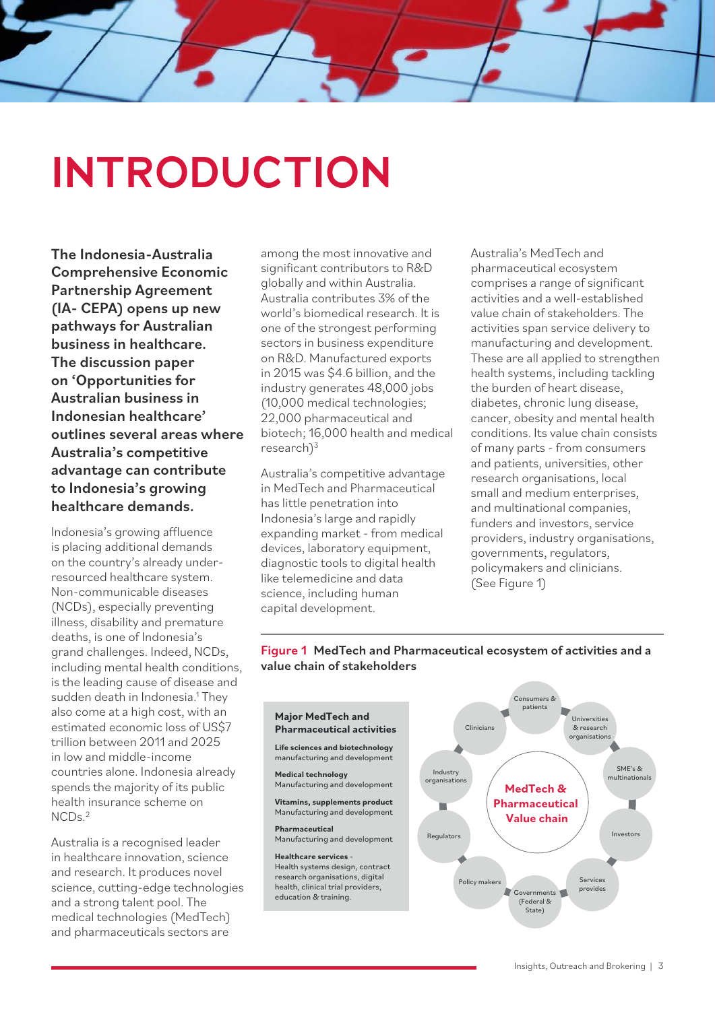# **INTRODUCTION**

The Indonesia-Australia Comprehensive Economic Partnership Agreement (IA- CEPA) opens up new pathways for Australian business in healthcare. The discussion paper on 'Opportunities for Australian business in Indonesian healthcare' outlines several areas where Australia's competitive advantage can contribute to Indonesia's growing healthcare demands.

Indonesia's growing affluence is placing additional demands on the country's already underresourced healthcare system. Non-communicable diseases (NCDs), especially preventing illness, disability and premature deaths, is one of Indonesia's grand challenges. Indeed, NCDs, including mental health conditions, is the leading cause of disease and sudden death in Indonesia.<sup>1</sup> They also come at a high cost, with an estimated economic loss of US\$7 trillion between 2011 and 2025 in low and middle-income countries alone. Indonesia already spends the majority of its public health insurance scheme on  $NCDs<sup>2</sup>$ 

Australia is a recognised leader in healthcare innovation, science and research. It produces novel science, cutting-edge technologies and a strong talent pool. The medical technologies (MedTech) and pharmaceuticals sectors are

among the most innovative and significant contributors to R&D globally and within Australia. Australia contributes 3% of the world's biomedical research. It is one of the strongest performing sectors in business expenditure on R&D. Manufactured exports in 2015 was \$4.6 billion, and the industry generates 48,000 jobs (10,000 medical technologies; 22,000 pharmaceutical and biotech; 16,000 health and medical research $)^3$ 

Australia's competitive advantage in MedTech and Pharmaceutical has little penetration into Indonesia's large and rapidly expanding market - from medical devices, laboratory equipment, diagnostic tools to digital health like telemedicine and data science, including human capital development.

Australia's MedTech and pharmaceutical ecosystem comprises a range of significant activities and a well-established value chain of stakeholders. The activities span service delivery to manufacturing and development. These are all applied to strengthen health systems, including tackling the burden of heart disease, diabetes, chronic lung disease, cancer, obesity and mental health conditions. Its value chain consists of many parts - from consumers and patients, universities, other research organisations, local small and medium enterprises, and multinational companies, funders and investors, service providers, industry organisations, governments, regulators, policymakers and clinicians. (See Figure 1)

### Figure 1 MedTech and Pharmaceutical ecosystem of activities and a value chain of stakeholders



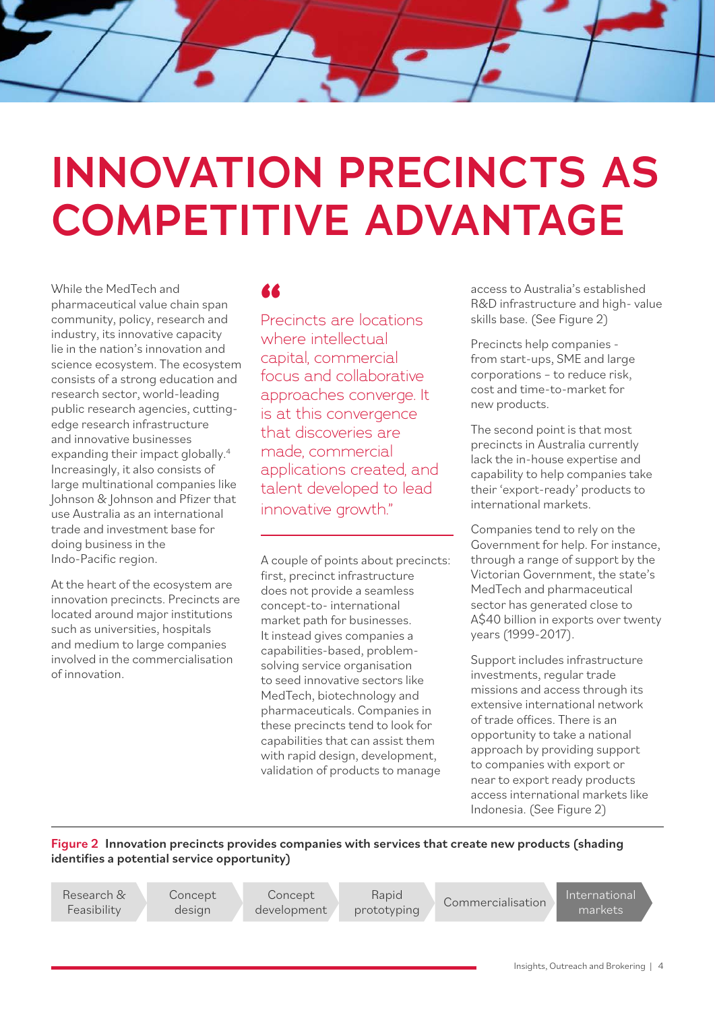# **INNOVATION PRECINCTS AS COMPETITIVE ADVANTAGE**

While the MedTech and pharmaceutical value chain span community, policy, research and industry, its innovative capacity lie in the nation's innovation and science ecosystem. The ecosystem consists of a strong education and research sector, world-leading public research agencies, cuttingedge research infrastructure and innovative businesses expanding their impact globally.<sup>4</sup> Increasingly, it also consists of large multinational companies like Johnson & Johnson and Pfizer that use Australia as an international trade and investment base for doing business in the Indo-Pacific region.

At the heart of the ecosystem are innovation precincts. Precincts are located around major institutions such as universities, hospitals and medium to large companies involved in the commercialisation of innovation.

Precincts are locations **"** where intellectual capital, commercial focus and collaborative approaches converge. It is at this convergence that discoveries are made, commercial applications created, and talent developed to lead innovative growth."

A couple of points about precincts: first, precinct infrastructure does not provide a seamless concept-to- international market path for businesses. It instead gives companies a capabilities-based, problemsolving service organisation to seed innovative sectors like MedTech, biotechnology and pharmaceuticals. Companies in these precincts tend to look for capabilities that can assist them with rapid design, development, validation of products to manage

access to Australia's established R&D infrastructure and high- value skills base. (See Figure 2)

Precincts help companies from start-ups, SME and large corporations – to reduce risk, cost and time-to-market for new products.

The second point is that most precincts in Australia currently lack the in-house expertise and capability to help companies take their 'export-ready' products to international markets.

Companies tend to rely on the Government for help. For instance, through a range of support by the Victorian Government, the state's MedTech and pharmaceutical sector has generated close to A\$40 billion in exports over twenty years (1999-2017).

Support includes infrastructure investments, regular trade missions and access through its extensive international network of trade offices. There is an opportunity to take a national approach by providing support to companies with export or near to export ready products access international markets like Indonesia. (See Figure 2)

Figure 2 Innovation precincts provides companies with services that create new products (shading identifies a potential service opportunity)

Research & Feasibility

Concept design

Concept development

Rapid Rapid Commercialisation International<br>prototyping Commercialisation markets

markets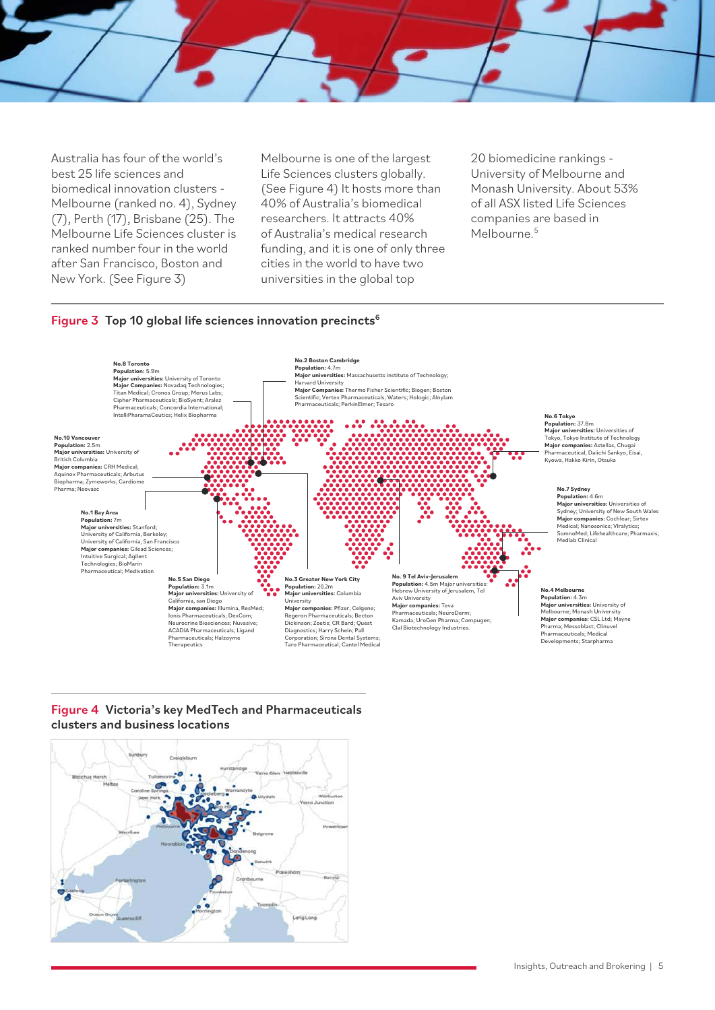Australia has four of the world's best 25 life sciences and biomedical innovation clusters - Melbourne (ranked no. 4), Sydney (7), Perth (17), Brisbane (25). The Melbourne Life Sciences cluster is ranked number four in the world after San Francisco, Boston and New York. (See Figure 3)

Melbourne is one of the largest Life Sciences clusters globally. (See Figure 4) It hosts more than 40% of Australia's biomedical researchers. It attracts 40% of Australia's medical research funding, and it is one of only three cities in the world to have two universities in the global top

20 biomedicine rankings - University of Melbourne and Monash University. About 53% of all ASX listed Life Sciences companies are based in Melbourne<sup>5</sup>

### Figure 3 Top 10 global life sciences innovation precincts<sup>6</sup>



### Figure 4 Victoria's key MedTech and Pharmaceuticals clusters and business locations

![](_page_4_Figure_6.jpeg)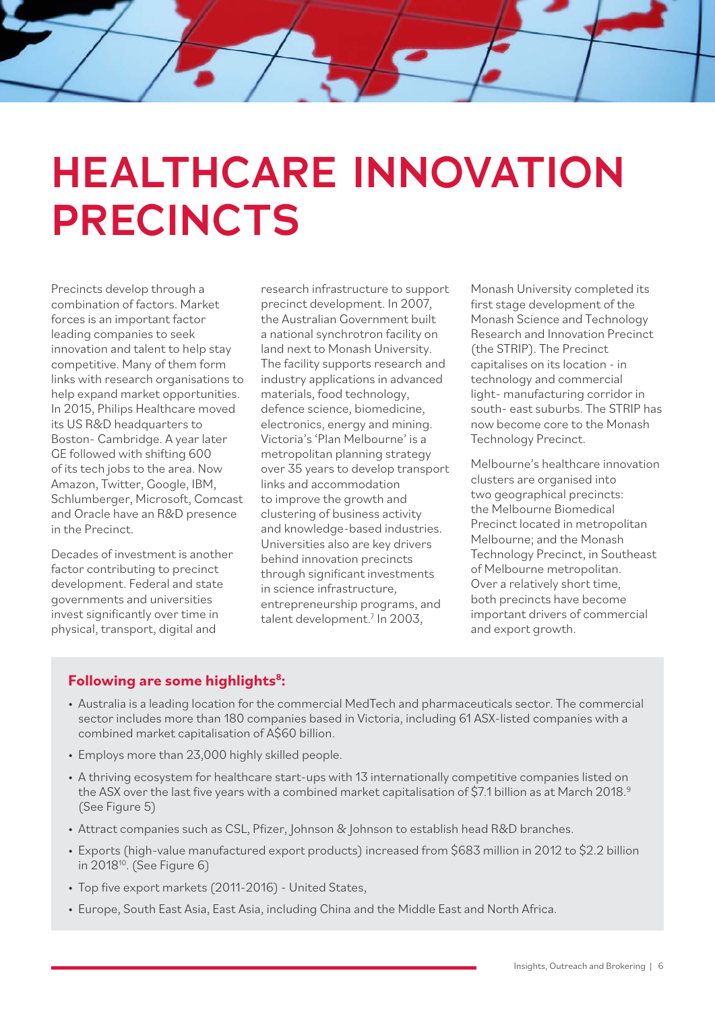# **HEALTHCARE INNOVATION PRECINCTS**

Precincts develop through a combination of factors. Market forces is an important factor leading companies to seek innovation and talent to help stay competitive. Many of them form links with research organisations to help expand market opportunities. In 2015, Philips Healthcare moved its US R&D headquarters to Boston- Cambridge. A year later GE followed with shifting 600 of its tech jobs to the area. Now Amazon, Twitter, Google, IBM, Schlumberger, Microsoft, Comcast and Oracle have an R&D presence in the Precinct.

Decades of investment is another factor contributing to precinct development. Federal and state governments and universities invest significantly over time in physical, transport, digital and

research infrastructure to support precinct development. In 2007, the Australian Government built a national synchrotron facility on land next to Monash University. The facility supports research and industry applications in advanced materials, food technology, defence science, biomedicine, electronics, energy and mining. Victoria's 'Plan Melbourne' is a metropolitan planning strategy over 35 years to develop transport links and accommodation to improve the growth and clustering of business activity and knowledge-based industries. Universities also are key drivers behind innovation precincts through significant investments in science infrastructure, entrepreneurship programs, and talent development.<sup>7</sup> In 2003,

Monash University completed its first stage development of the Monash Science and Technology Research and Innovation Precinct (the STRIP). The Precinct capitalises on its location - in technology and commercial light- manufacturing corridor in south- east suburbs. The STRIP has now become core to the Monash Technology Precinct.

Melbourne's healthcare innovation clusters are organised into two geographical precincts: the Melbourne Biomedical Precinct located in metropolitan Melbourne; and the Monash Technology Precinct, in Southeast of Melbourne metropolitan. Over a relatively short time, both precincts have become important drivers of commercial and export growth.

## **Following are some highlights8:**

- Australia is a leading location for the commercial MedTech and pharmaceuticals sector. The commercial sector includes more than 180 companies based in Victoria, including 61 ASX-listed companies with a combined market capitalisation of A\$60 billion.
- Employs more than 23,000 highly skilled people.
- A thriving ecosystem for healthcare start-ups with 13 internationally competitive companies listed on the ASX over the last five years with a combined market capitalisation of \$7.1 billion as at March 2018.<sup>9</sup> (See Figure 5)
- Attract companies such as CSL, Pfizer, Johnson & Johnson to establish head R&D branches.
- Exports (high-value manufactured export products) increased from \$683 million in 2012 to \$2.2 billion in 201810. (See Figure 6)
- Top five export markets (2011-2016) United States,
- Europe, South East Asia, East Asia, including China and the Middle East and North Africa.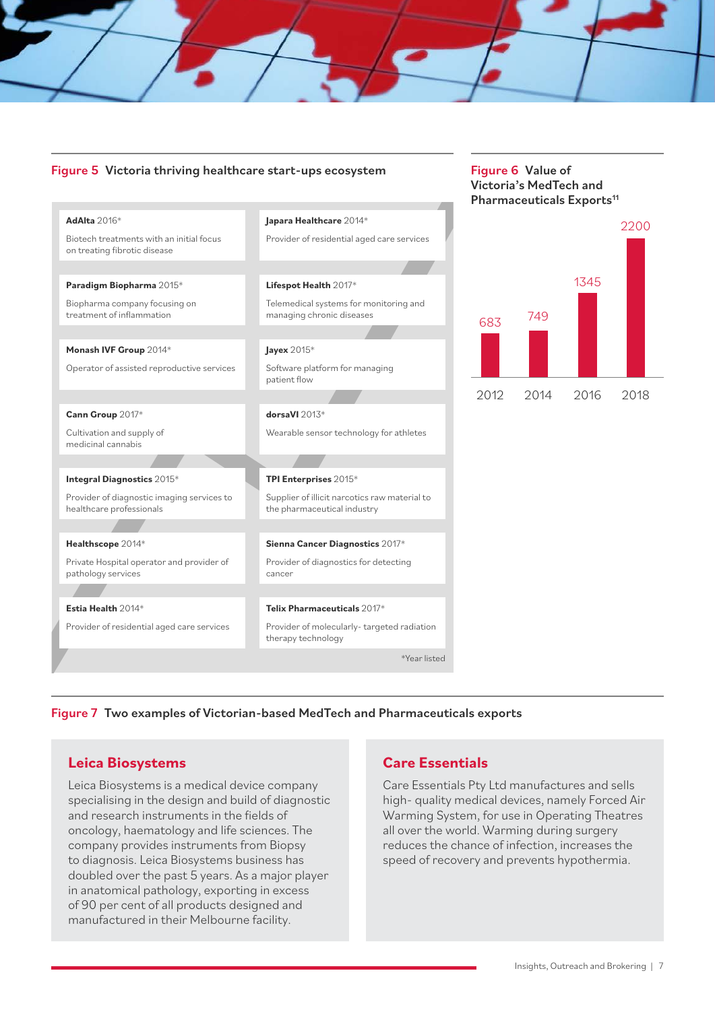### Figure 5 Victoria thriving healthcare start-ups ecosystem Figure 6 Value of

**AdAlta** 2016\*

# Pharmaceuticals Exports<sup>11</sup> 2012 <sup>683</sup> <sup>749</sup> 1345 2200 2014 2016 2018 **Japara Healthcare** 2014\*

Victoria's MedTech and

![](_page_6_Figure_3.jpeg)

Figure 7 Two examples of Victorian-based MedTech and Pharmaceuticals exports

## **Leica Biosystems**

Leica Biosystems is a medical device company specialising in the design and build of diagnostic and research instruments in the fields of oncology, haematology and life sciences. The company provides instruments from Biopsy to diagnosis. Leica Biosystems business has doubled over the past 5 years. As a major player in anatomical pathology, exporting in excess of 90 per cent of all products designed and manufactured in their Melbourne facility.

## **Care Essentials**

Care Essentials Pty Ltd manufactures and sells high- quality medical devices, namely Forced Air Warming System, for use in Operating Theatres all over the world. Warming during surgery reduces the chance of infection, increases the speed of recovery and prevents hypothermia.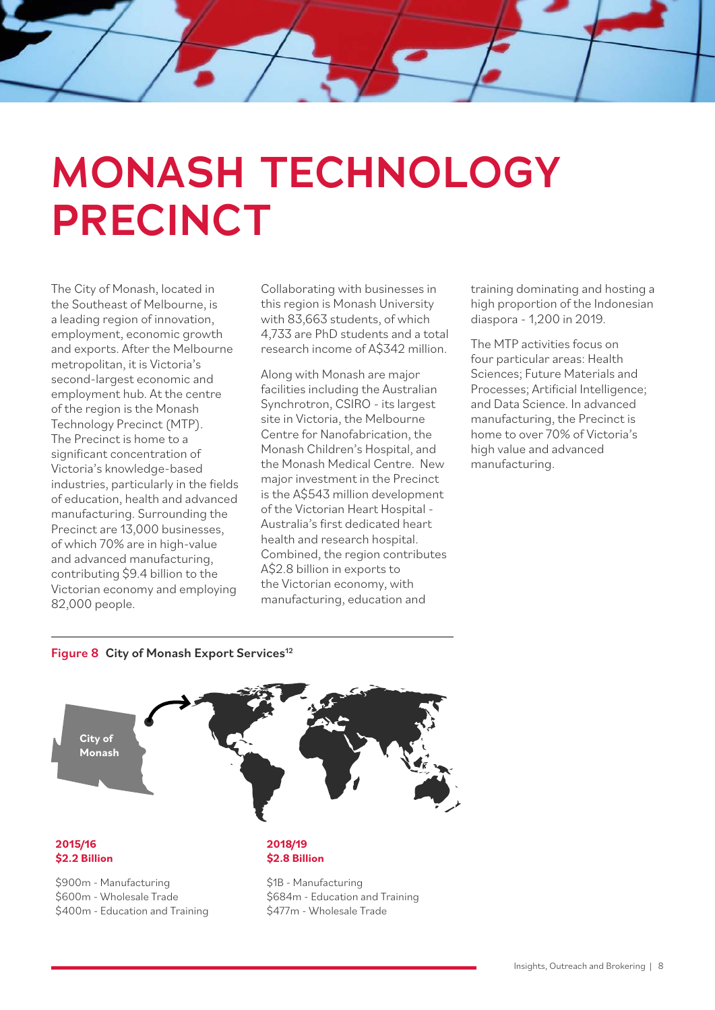# **MONASH TECHNOLOGY PRECINCT**

The City of Monash, located in the Southeast of Melbourne, is a leading region of innovation, employment, economic growth and exports. After the Melbourne metropolitan, it is Victoria's second-largest economic and employment hub. At the centre of the region is the Monash Technology Precinct (MTP). The Precinct is home to a significant concentration of Victoria's knowledge-based industries, particularly in the fields of education, health and advanced manufacturing. Surrounding the Precinct are 13,000 businesses, of which 70% are in high-value and advanced manufacturing, contributing \$9.4 billion to the Victorian economy and employing 82,000 people.

Collaborating with businesses in this region is Monash University with 83,663 students, of which 4,733 are PhD students and a total research income of A\$342 million.

Along with Monash are major facilities including the Australian Synchrotron, CSIRO - its largest site in Victoria, the Melbourne Centre for Nanofabrication, the Monash Children's Hospital, and the Monash Medical Centre. New major investment in the Precinct is the A\$543 million development of the Victorian Heart Hospital - Australia's first dedicated heart health and research hospital. Combined, the region contributes A\$2.8 billion in exports to the Victorian economy, with manufacturing, education and

training dominating and hosting a high proportion of the Indonesian diaspora - 1,200 in 2019.

The MTP activities focus on four particular areas: Health Sciences; Future Materials and Processes; Artificial Intelligence; and Data Science. In advanced manufacturing, the Precinct is home to over 70% of Victoria's high value and advanced manufacturing.

### Figure 8 City of Monash Export Services<sup>12</sup>

![](_page_7_Picture_7.jpeg)

### **2015/16 \$2.2 Billion**

\$900m - Manufacturing \$600m - Wholesale Trade \$400m - Education and Training

### **2018/19 \$2.8 Billion**

\$1B - Manufacturing \$684m - Education and Training \$477m - Wholesale Trade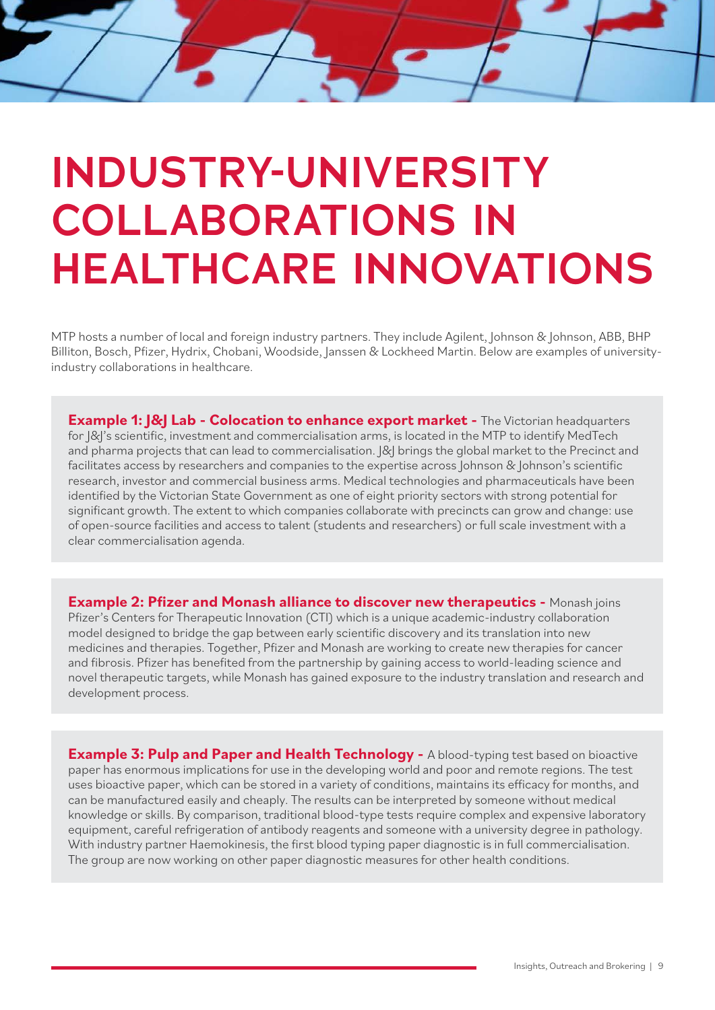# **INDUSTRY-UNIVERSITY COLLABORATIONS IN HEALTHCARE INNOVATIONS**

MTP hosts a number of local and foreign industry partners. They include Agilent, Johnson & Johnson, ABB, BHP Billiton, Bosch, Pfizer, Hydrix, Chobani, Woodside, Janssen & Lockheed Martin. Below are examples of universityindustry collaborations in healthcare.

**Example 1: I&I Lab - Colocation to enhance export market -** The Victorian headquarters for  $|\&|$ 's scientific, investment and commercialisation arms, is located in the MTP to identify MedTech and pharma projects that can lead to commercialisation.  $|&$  brings the global market to the Precinct and facilitates access by researchers and companies to the expertise across Johnson & Johnson's scientific research, investor and commercial business arms. Medical technologies and pharmaceuticals have been identified by the Victorian State Government as one of eight priority sectors with strong potential for significant growth. The extent to which companies collaborate with precincts can grow and change: use of open-source facilities and access to talent (students and researchers) or full scale investment with a clear commercialisation agenda.

**Example 2: Pfizer and Monash alliance to discover new therapeutics -** Monash joins Pfizer's Centers for Therapeutic Innovation (CTI) which is a unique academic-industry collaboration model designed to bridge the gap between early scientific discovery and its translation into new medicines and therapies. Together, Pfizer and Monash are working to create new therapies for cancer and fibrosis. Pfizer has benefited from the partnership by gaining access to world-leading science and novel therapeutic targets, while Monash has gained exposure to the industry translation and research and development process.

**Example 3: Pulp and Paper and Health Technology - A blood-typing test based on bioactive** paper has enormous implications for use in the developing world and poor and remote regions. The test uses bioactive paper, which can be stored in a variety of conditions, maintains its efficacy for months, and can be manufactured easily and cheaply. The results can be interpreted by someone without medical knowledge or skills. By comparison, traditional blood-type tests require complex and expensive laboratory equipment, careful refrigeration of antibody reagents and someone with a university degree in pathology. With industry partner Haemokinesis, the first blood typing paper diagnostic is in full commercialisation. The group are now working on other paper diagnostic measures for other health conditions.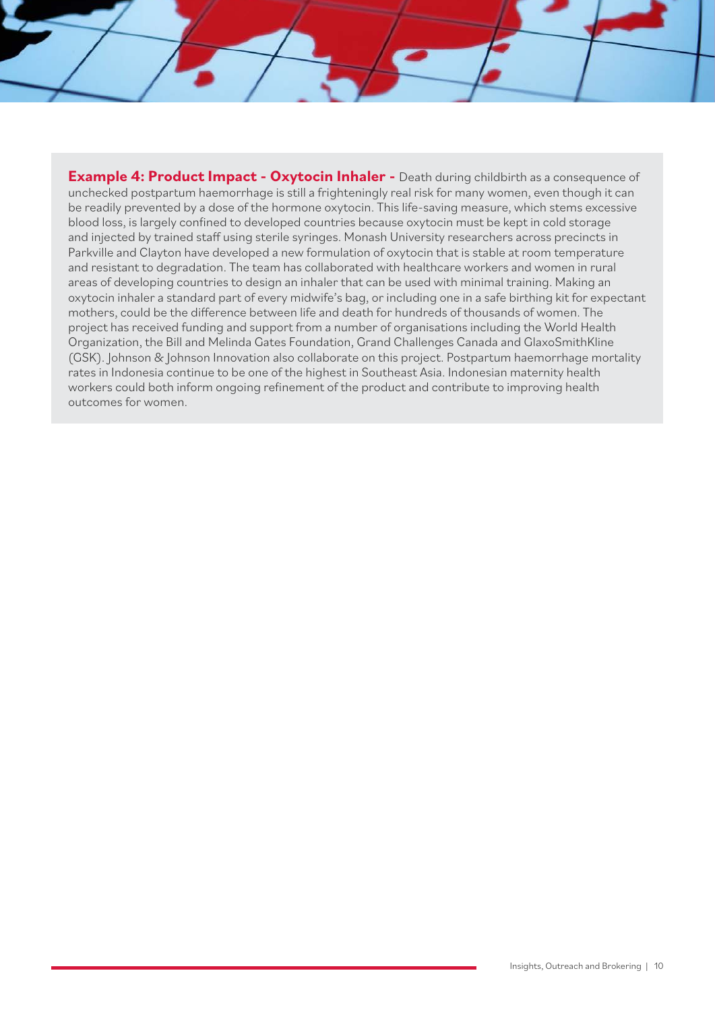**Example 4: Product Impact - Oxytocin Inhaler -** Death during childbirth as a consequence of unchecked postpartum haemorrhage is still a frighteningly real risk for many women, even though it can be readily prevented by a dose of the hormone oxytocin. This life-saving measure, which stems excessive blood loss, is largely confined to developed countries because oxytocin must be kept in cold storage and injected by trained staff using sterile syringes. Monash University researchers across precincts in Parkville and Clayton have developed a new formulation of oxytocin that is stable at room temperature and resistant to degradation. The team has collaborated with healthcare workers and women in rural areas of developing countries to design an inhaler that can be used with minimal training. Making an oxytocin inhaler a standard part of every midwife's bag, or including one in a safe birthing kit for expectant mothers, could be the difference between life and death for hundreds of thousands of women. The project has received funding and support from a number of organisations including the World Health Organization, the Bill and Melinda Gates Foundation, Grand Challenges Canada and GlaxoSmithKline (GSK). Johnson & Johnson Innovation also collaborate on this project. Postpartum haemorrhage mortality rates in Indonesia continue to be one of the highest in Southeast Asia. Indonesian maternity health workers could both inform ongoing refinement of the product and contribute to improving health outcomes for women.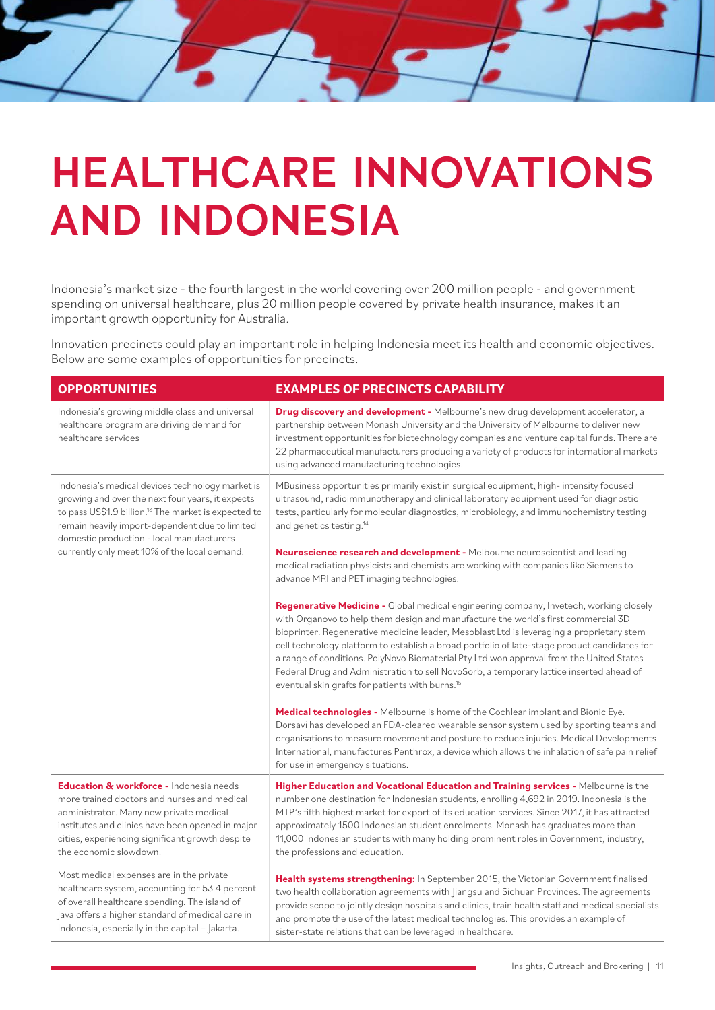# **HEALTHCARE INNOVATIONS AND INDONESIA**

Indonesia's market size - the fourth largest in the world covering over 200 million people - and government spending on universal healthcare, plus 20 million people covered by private health insurance, makes it an important growth opportunity for Australia.

Innovation precincts could play an important role in helping Indonesia meet its health and economic objectives. Below are some examples of opportunities for precincts.

| <b>OPPORTUNITIES</b>                                                                                                                                                                                                                                                                                                    | <b>EXAMPLES OF PRECINCTS CAPABILITY</b>                                                                                                                                                                                                                                                                                                                                                                                                                                                                                                                                                                                     |
|-------------------------------------------------------------------------------------------------------------------------------------------------------------------------------------------------------------------------------------------------------------------------------------------------------------------------|-----------------------------------------------------------------------------------------------------------------------------------------------------------------------------------------------------------------------------------------------------------------------------------------------------------------------------------------------------------------------------------------------------------------------------------------------------------------------------------------------------------------------------------------------------------------------------------------------------------------------------|
| Indonesia's growing middle class and universal<br>healthcare program are driving demand for<br>healthcare services                                                                                                                                                                                                      | <b>Drug discovery and development -</b> Melbourne's new drug development accelerator, a<br>partnership between Monash University and the University of Melbourne to deliver new<br>investment opportunities for biotechnology companies and venture capital funds. There are<br>22 pharmaceutical manufacturers producing a variety of products for international markets<br>using advanced manufacturing technologies.                                                                                                                                                                                                     |
| Indonesia's medical devices technology market is<br>growing and over the next four years, it expects<br>to pass US\$1.9 billion. <sup>13</sup> The market is expected to<br>remain heavily import-dependent due to limited<br>domestic production - local manufacturers<br>currently only meet 10% of the local demand. | MBusiness opportunities primarily exist in surgical equipment, high-intensity focused<br>ultrasound, radioimmunotherapy and clinical laboratory equipment used for diagnostic<br>tests, particularly for molecular diagnostics, microbiology, and immunochemistry testing<br>and genetics testing. <sup>14</sup><br>Neuroscience research and development - Melbourne neuroscientist and leading                                                                                                                                                                                                                            |
|                                                                                                                                                                                                                                                                                                                         | medical radiation physicists and chemists are working with companies like Siemens to<br>advance MRI and PET imaging technologies.                                                                                                                                                                                                                                                                                                                                                                                                                                                                                           |
|                                                                                                                                                                                                                                                                                                                         | Regenerative Medicine - Global medical engineering company, Invetech, working closely<br>with Organovo to help them design and manufacture the world's first commercial 3D<br>bioprinter. Regenerative medicine leader, Mesoblast Ltd is leveraging a proprietary stem<br>cell technology platform to establish a broad portfolio of late-stage product candidates for<br>a range of conditions. PolyNovo Biomaterial Pty Ltd won approval from the United States<br>Federal Drug and Administration to sell NovoSorb, a temporary lattice inserted ahead of<br>eventual skin grafts for patients with burns. <sup>15</sup> |
|                                                                                                                                                                                                                                                                                                                         | Medical technologies - Melbourne is home of the Cochlear implant and Bionic Eye.<br>Dorsavi has developed an FDA-cleared wearable sensor system used by sporting teams and<br>organisations to measure movement and posture to reduce injuries. Medical Developments<br>International, manufactures Penthrox, a device which allows the inhalation of safe pain relief<br>for use in emergency situations.                                                                                                                                                                                                                  |
| Education & workforce - Indonesia needs<br>more trained doctors and nurses and medical<br>administrator. Many new private medical<br>institutes and clinics have been opened in major<br>cities, experiencing significant growth despite<br>the economic slowdown.                                                      | Higher Education and Vocational Education and Training services - Melbourne is the<br>number one destination for Indonesian students, enrolling 4,692 in 2019. Indonesia is the<br>MTP's fifth highest market for export of its education services. Since 2017, it has attracted<br>approximately 1500 Indonesian student enrolments. Monash has graduates more than<br>11,000 Indonesian students with many holding prominent roles in Government, industry,<br>the professions and education.                                                                                                                             |
| Most medical expenses are in the private<br>healthcare system, accounting for 53.4 percent<br>of overall healthcare spending. The island of<br>lava offers a higher standard of medical care in<br>Indonesia, especially in the capital - Jakarta.                                                                      | Health systems strengthening: In September 2015, the Victorian Government finalised<br>two health collaboration agreements with Jiangsu and Sichuan Provinces. The agreements<br>provide scope to jointly design hospitals and clinics, train health staff and medical specialists<br>and promote the use of the latest medical technologies. This provides an example of<br>sister-state relations that can be leveraged in healthcare.                                                                                                                                                                                    |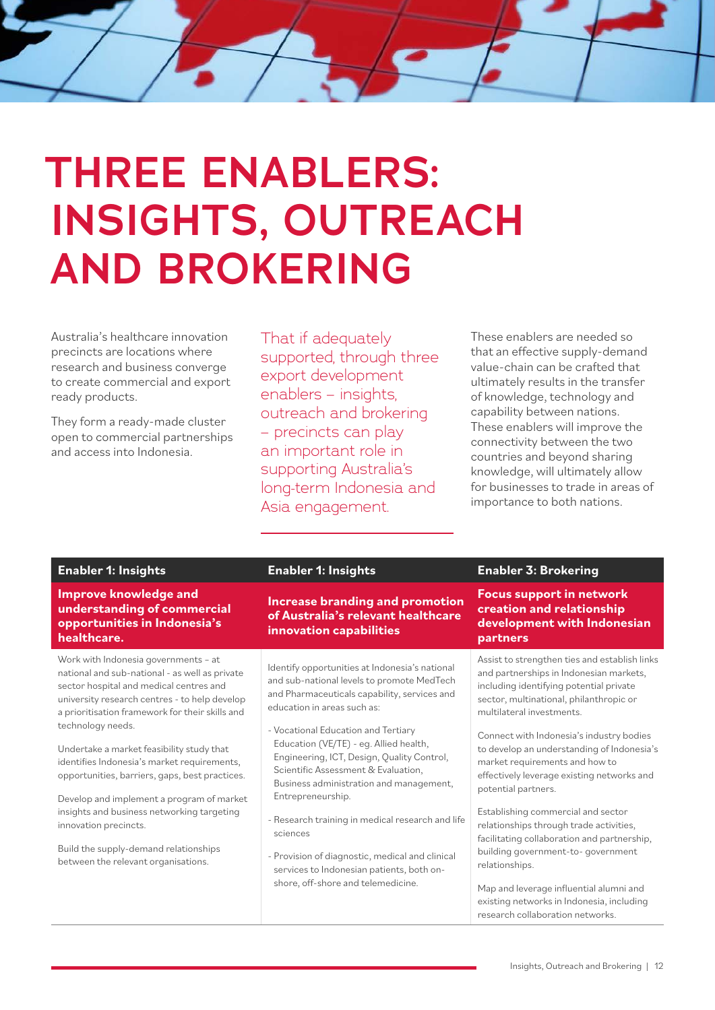# **THREE ENABLERS: INSIGHTS, OUTREACH AND BROKERING**

Australia's healthcare innovation precincts are locations where research and business converge to create commercial and export ready products.

They form a ready-made cluster open to commercial partnerships and access into Indonesia.

That if adequately supported, through three export development enablers – insights, outreach and brokering – precincts can play an important role in supporting Australia's long-term Indonesia and Asia engagement.

These enablers are needed so that an effective supply-demand value-chain can be crafted that ultimately results in the transfer of knowledge, technology and capability between nations. These enablers will improve the connectivity between the two countries and beyond sharing knowledge, will ultimately allow for businesses to trade in areas of importance to both nations.

**Improve knowledge and understanding of commercial opportunities in Indonesia's healthcare.**

Work with Indonesia governments – at national and sub-national - as well as private sector hospital and medical centres and university research centres - to help develop a prioritisation framework for their skills and technology needs.

Undertake a market feasibility study that identifies Indonesia's market requirements, opportunities, barriers, gaps, best practices.

Develop and implement a program of market insights and business networking targeting innovation precincts.

Build the supply-demand relationships between the relevant organisations.

**Increase branding and promotion of Australia's relevant healthcare innovation capabilities**

Identify opportunities at Indonesia's national and sub-national levels to promote MedTech and Pharmaceuticals capability, services and education in areas such as:

- Vocational Education and Tertiary Education (VE/TE) - eg. Allied health, Engineering, ICT, Design, Quality Control, Scientific Assessment & Evaluation, Business administration and management, Entrepreneurship.
- Research training in medical research and life sciences
- Provision of diagnostic, medical and clinical services to Indonesian patients, both onshore, off-shore and telemedicine.

### **Enabler 1: Insights Enabler 1: Insights Enabler 3: Brokering**

**Focus support in network creation and relationship development with Indonesian partners**

Assist to strengthen ties and establish links and partnerships in Indonesian markets, including identifying potential private sector, multinational, philanthropic or multilateral investments.

Connect with Indonesia's industry bodies to develop an understanding of Indonesia's market requirements and how to effectively leverage existing networks and potential partners.

Establishing commercial and sector relationships through trade activities, facilitating collaboration and partnership, building government-to- government relationships.

Map and leverage influential alumni and existing networks in Indonesia, including research collaboration networks.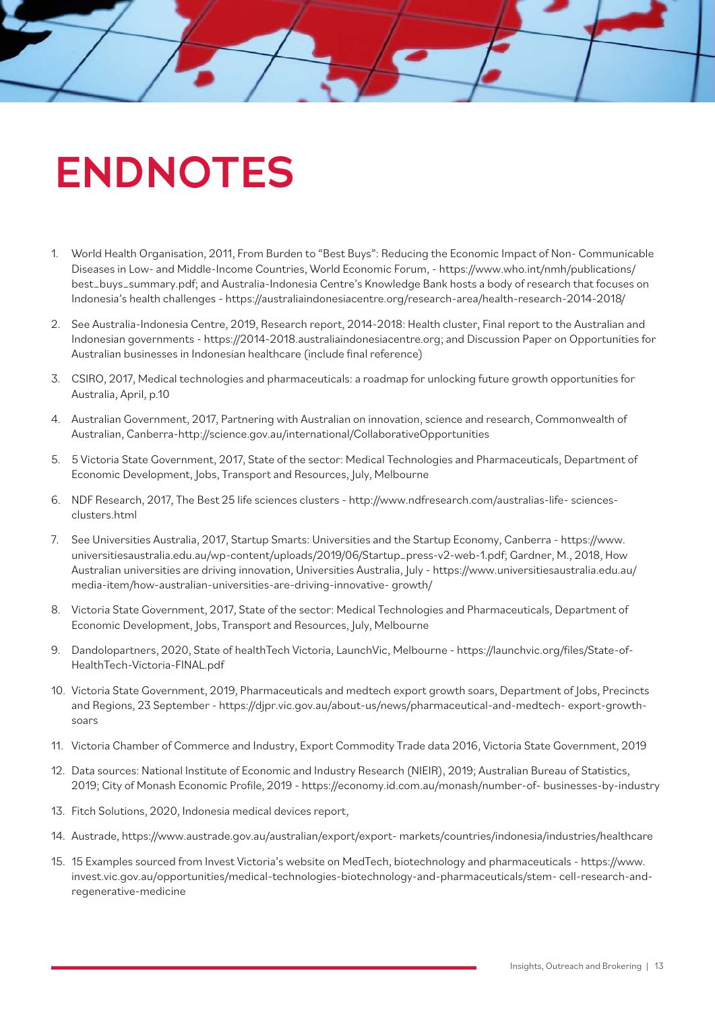# **ENDNOTES**

- 1. World Health Organisation, 2011, From Burden to "Best Buys": Reducing the Economic Impact of Non- Communicable Diseases in Low- and Middle-Income Countries, World Economic Forum, - https://www.who.int/nmh/publications/ best\_buys\_summary.pdf; and Australia-Indonesia Centre's Knowledge Bank hosts a body of research that focuses on Indonesia's health challenges - https://australiaindonesiacentre.org/research-area/health-research-2014-2018/
- 2. See Australia-Indonesia Centre, 2019, Research report, 2014-2018: Health cluster, Final report to the Australian and Indonesian governments - https://2014-2018.australiaindonesiacentre.org; and Discussion Paper on Opportunities for Australian businesses in Indonesian healthcare (include final reference)
- 3. CSIRO, 2017, Medical technologies and pharmaceuticals: a roadmap for unlocking future growth opportunities for Australia, April, p.10
- 4. Australian Government, 2017, Partnering with Australian on innovation, science and research, Commonwealth of Australian, Canberra-http://science.gov.au/international/CollaborativeOpportunities
- 5. 5 Victoria State Government, 2017, State of the sector: Medical Technologies and Pharmaceuticals, Department of Economic Development, Jobs, Transport and Resources, July, Melbourne
- 6. NDF Research, 2017, The Best 25 life sciences clusters http://www.ndfresearch.com/australias-life- sciencesclusters.html
- 7. See Universities Australia, 2017, Startup Smarts: Universities and the Startup Economy, Canberra https://www. universitiesaustralia.edu.au/wp-content/uploads/2019/06/Startup\_press-v2-web-1.pdf; Gardner, M., 2018, How Australian universities are driving innovation, Universities Australia, July - https://www.universitiesaustralia.edu.au/ media-item/how-australian-universities-are-driving-innovative- growth/
- 8. Victoria State Government, 2017, State of the sector: Medical Technologies and Pharmaceuticals, Department of Economic Development, Jobs, Transport and Resources, July, Melbourne
- 9. Dandolopartners, 2020, State of healthTech Victoria, LaunchVic, Melbourne https://launchvic.org/files/State-of-HealthTech-Victoria-FINAL.pdf
- 10. Victoria State Government, 2019, Pharmaceuticals and medtech export growth soars, Department of Jobs, Precincts and Regions, 23 September - https://djpr.vic.gov.au/about-us/news/pharmaceutical-and-medtech- export-growthsoars
- 11. Victoria Chamber of Commerce and Industry, Export Commodity Trade data 2016, Victoria State Government, 2019
- 12. Data sources: National Institute of Economic and Industry Research (NIEIR), 2019; Australian Bureau of Statistics, 2019; City of Monash Economic Profile, 2019 - https://economy.id.com.au/monash/number-of- businesses-by-industry
- 13. Fitch Solutions, 2020, Indonesia medical devices report,
- 14. Austrade, https://www.austrade.gov.au/australian/export/export- markets/countries/indonesia/industries/healthcare
- 15. 15 Examples sourced from Invest Victoria's website on MedTech, biotechnology and pharmaceuticals https://www. invest.vic.gov.au/opportunities/medical-technologies-biotechnology-and-pharmaceuticals/stem- cell-research-andregenerative-medicine